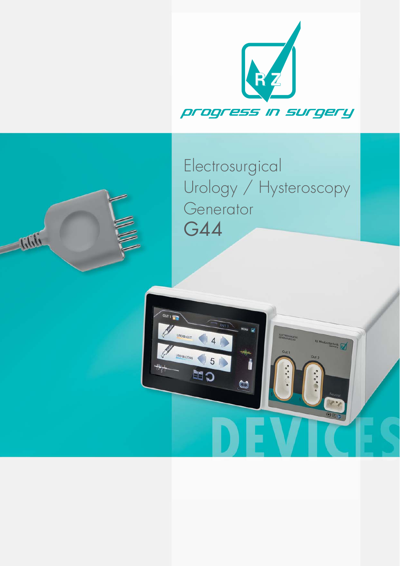

## Electrosurgical Urology / Hysteroscopy Generator G44

**RECTROSURGICA**<br>GENERATOR G 44

OUT 1

ROBIQUT

UROBI-COAG \$5

CH

 $\bullet$ 

 $\begin{array}{c} \bigcirc \end{array}$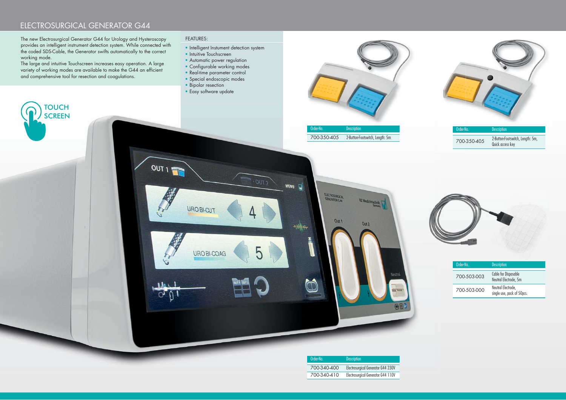### ELECTROSURGICAL GENERATOR G44

The new Electrosurgical Generator G44 for Urology and Hysteroscopy provides an intelligent instrument detection system. While connected with the coded SDS-Cable, the Generator swifts automatically to the correct working mode.

The large and intuitive Touchscreen increases easy operation. A large variety of working modes are available to make the G44 an efficient and comprehensive tool for resection and coagulations.

> **TOUCH SCREEN**

#### FEATURES:

OUT 1

 $1.01<sub>1</sub>$ 

- 
- Intelligent Instument detection system • Intuitive Touchscreen

 $-00T<sub>2</sub>$ 

ხ

MENU

 $\rightarrow 0$ 

- 
- Automatic power regulation • Configurable working modes
- 
- Real-time parameter control
- Special endoscopic modes
- Bipolar resection

URO BI-CUT

URO BI-COAG

• Easy software update



**RZ** Medizintari

 $Out<sub>2</sub>$ 

 $\overline{\Theta}E$ 

ELECTROSURGICAL

 $Out1$ 

| Order-No. |             | <b>Description</b>                                   |
|-----------|-------------|------------------------------------------------------|
|           | 700-350-405 | 2-Button-Footswitch, Length: 5m,<br>Quick access key |



| Order-No.   | <b>Description</b>                 |
|-------------|------------------------------------|
| 700-340-400 | Electrosurgical Generator G44 230V |
| 700-340-410 | Electrosurgical Generator G44 110V |



| Order-No.   | <b>Description</b>                               |
|-------------|--------------------------------------------------|
| 700-503-003 | Cable for Disposable<br>Neutral Electrode, 5m    |
| 700-503-000 | Neutral Electrode,<br>single use, pack of 50pcs. |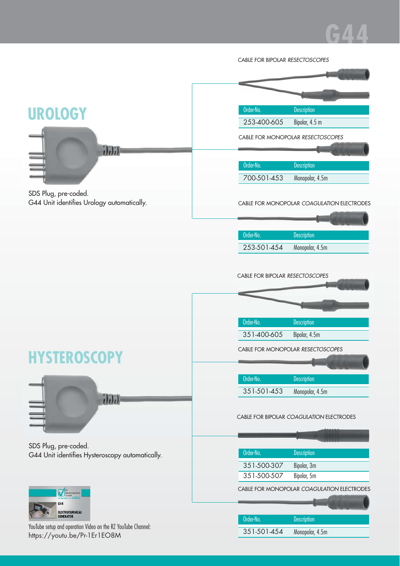# **G44**

|                                                                                              | CABLE FOR BIPOLAR RESECTOSCOPES                    |
|----------------------------------------------------------------------------------------------|----------------------------------------------------|
|                                                                                              |                                                    |
|                                                                                              |                                                    |
|                                                                                              |                                                    |
| <b>UROLOGY</b>                                                                               | Order-No.<br>Description                           |
|                                                                                              | 253-400-605<br>Bipolar, 4.5 m                      |
|                                                                                              | CABLE FOR MONOPOLAR RESECTOSCOPES                  |
| $\mathbf{h}$                                                                                 |                                                    |
|                                                                                              | Order-No.<br><b>Description</b>                    |
|                                                                                              | 700-501-453<br>Monopolar, 4.5m                     |
| SDS Plug, pre-coded.                                                                         |                                                    |
| G44 Unit identifies Urology automatically.                                                   | CABLE FOR MONOPOLAR COAGULATION ELECTRODES         |
|                                                                                              |                                                    |
|                                                                                              |                                                    |
|                                                                                              | Order-No.<br><b>Description</b>                    |
|                                                                                              | 253-501-454<br>Monopolar, 4.5m                     |
|                                                                                              |                                                    |
|                                                                                              | CABLE FOR BIPOLAR RESECTOSCOPES                    |
|                                                                                              |                                                    |
|                                                                                              |                                                    |
|                                                                                              | Order-No.                                          |
|                                                                                              | <b>Description</b><br>351-400-605<br>Bipolar, 4.5m |
|                                                                                              |                                                    |
|                                                                                              | CABLE FOR MONOPOLAR RESECTOSCOPES                  |
|                                                                                              |                                                    |
|                                                                                              | Order-No.<br><b>Description</b>                    |
|                                                                                              | 351-501-453<br>Monopolar, 4.5m                     |
| i(i)                                                                                         |                                                    |
|                                                                                              | CABLE FOR BIPOLAR COAGULATION ELECTRODES           |
|                                                                                              |                                                    |
| SDS Plug, pre-coded.                                                                         |                                                    |
| G44 Unit identifies Hysteroscopy automatically.                                              | Order-No.<br><b>Description</b>                    |
|                                                                                              | 351-500-307<br>Bipolar, 3m                         |
|                                                                                              | 351-500-507<br>Bipolar, 5m                         |
| <b>KZ</b><br>Medizimechnik<br>GmbH                                                           | CABLE FOR MONOPOLAR COAGULATION ELECTRODES         |
|                                                                                              |                                                    |
| <b>ELECTROSURGICAL</b><br><b>GENERATOR</b>                                                   | Order-No.<br><b>Description</b>                    |
| YouTube setup and operation Video on the RZ YouTube Channel:<br>https://youtu.be/Pr-1Er1EO8M | 351-501-454<br>Monopolar, 4.5m                     |
|                                                                                              |                                                    |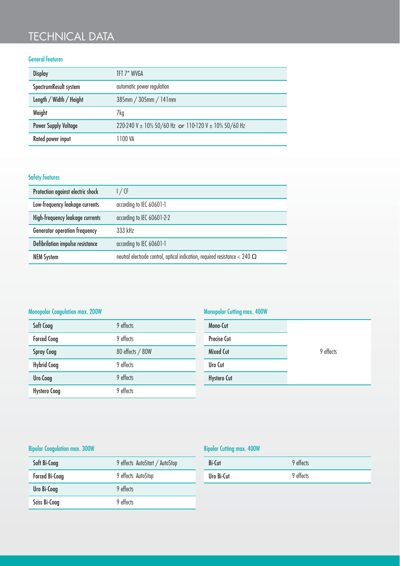## TECHNICAL DATA

#### General features

| <b>Display</b>              | TFT 7" WVGA                                          |
|-----------------------------|------------------------------------------------------|
| SpectrumResult system       | automatic power regulation                           |
| Length / Width / Height     | 385mm / 305mm / 141mm                                |
| Weight                      | 7kg                                                  |
| <b>Power Supply Voltage</b> | 220-240 V ± 10% 50/60 Hz or 110-120 V ± 10% 50/60 Hz |
| Rated power input           | 1100 VA                                              |

#### Safety features

| Protection against electric shock    | 1/CF                                                                              |
|--------------------------------------|-----------------------------------------------------------------------------------|
| Low-frequency leakage currents       | according to IEC 60601-1                                                          |
| High-frequency leakage currents      | according to IEC 60601-2-2                                                        |
| <b>Generator operation frequency</b> | 333 kHz                                                                           |
| Defibrilation impulse resistance     | according to IEC 60601-1                                                          |
| <b>NEM System</b>                    | neutral electrode control, optical indication, required resistance < 240 $\Omega$ |

#### Monopolar Coagulation max. 200W

| Soft Coag           | 9 effects        |
|---------------------|------------------|
| <b>Forced Coag</b>  | 9 effects        |
| <b>Spray Coag</b>   | 80 effects / 80W |
| <b>Hybrid Coag</b>  | 9 effects        |
| <b>Uro Coag</b>     | 9 effects        |
| <b>Hystero Coag</b> | 9 effects        |

#### Monopolar Cutting max. 400W

| Mono-Cut           |           |
|--------------------|-----------|
| <b>Precise Cut</b> |           |
| <b>Mixed Cut</b>   | 9 effects |
| Uro Cut            |           |
| <b>Hystero Cut</b> |           |

#### Bipolar Coagulation max. 300W

| Soft Bi-Coag          | 9 effects AutoStart / AutoStop |
|-----------------------|--------------------------------|
| <b>Forced Bi-Coag</b> | 9 effects AutoStop             |
| <b>Uro Bi-Coag</b>    | 9 effects                      |
| Sciss Bi-Coag         | 9 effects                      |

#### Bipolar Cutting max. 400W

| Bi-Cut     | 9 effects |
|------------|-----------|
| Uro Bi-Cut | 9 effects |